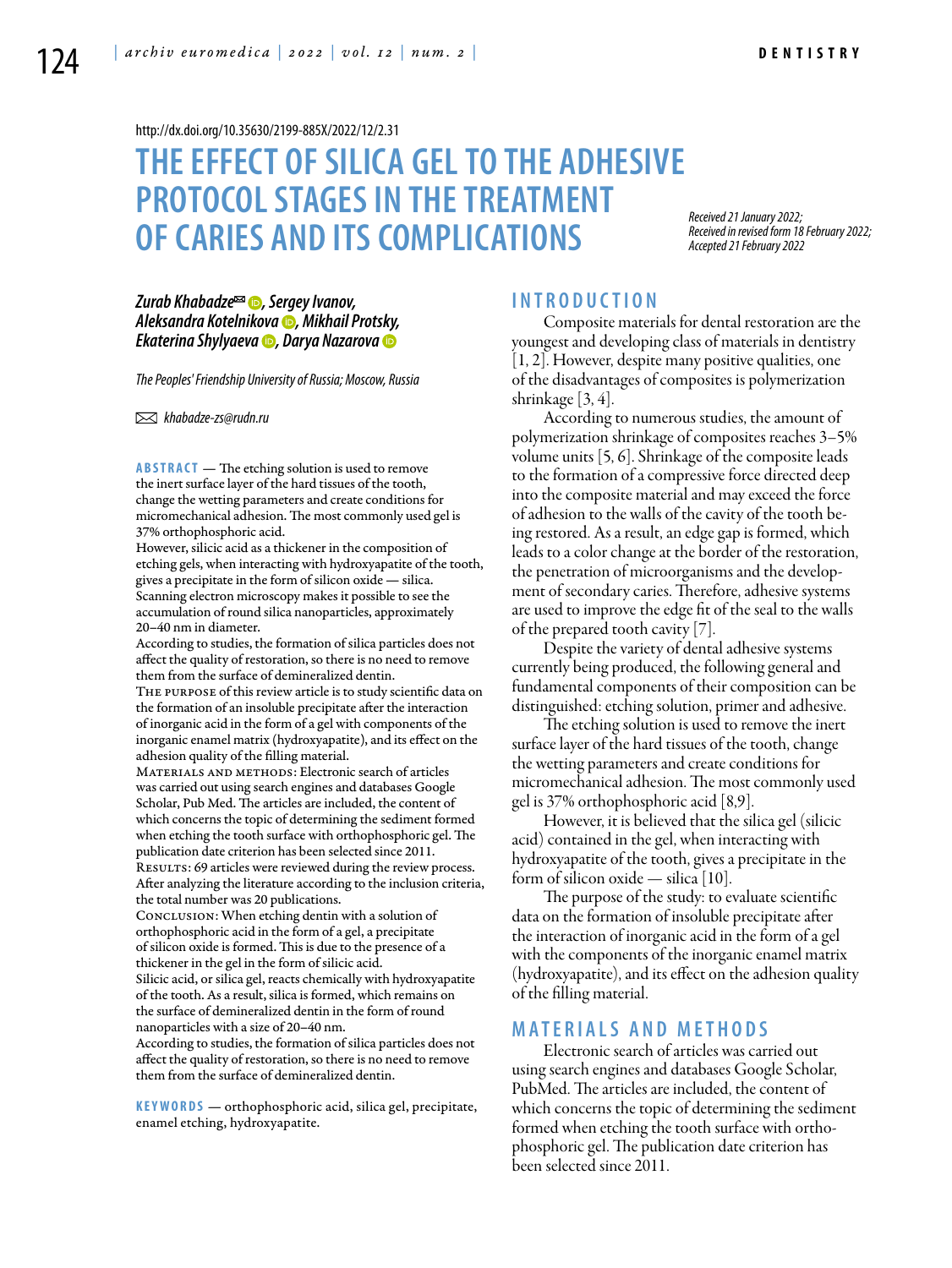<http://dx.doi.org/10.35630/2199-885X/2022/12/2.31>

# **THEEFFECT OF SILICA GEL TO THE ADHESIVE PROTOCOL STAGES IN THE TREATMENT OF CARIES AND ITS COMPLICATIONS**

*Received 21 January 2022; Received in revised form 18 February 2022; Accepted 21 February 2022*

### *[Zurab Khabadze](https://orcid.org/0000-0002-7257-5503)*<sup> $\text{■}$ *</sup> <i>Sergey Ivanov*,</sup> *[Aleksandra Kotelnikova](https://orcid.org/0000-0001-6359-4561) , Mikhail Protsky, [Ekaterina Shylyaeva](https://orcid.org/0000-0003-1136-1795) , [Darya Nazarova](https://orcid.org/0000-0002-1508-1080)*

*The Peoples' Friendship University of Russia; Moscow, Russia* 

 *khabadze-zs@rudn.ru*

**ABSTRACT** — The etching solution is used to remove the inert surface layer of the hard tissues of the tooth, change the wetting parameters and create conditions for micromechanical adhesion. The most commonly used gel is 37% orthophosphoric acid.

However, silicic acid as a thickener in the composition of etching gels, when interacting with hydroxyapatite of the tooth, gives a precipitate in the form of silicon oxide — silica. Scanning electron microscopy makes it possible to see the accumulation of round silica nanoparticles, approximately 20–40 nm in diameter.

According to studies, the formation of silica particles does not affect the quality of restoration, so there is no need to remove them from the surface of demineralized dentin.

The purpose of this review article is to study scientific data on the formation of an insoluble precipitate after the interaction of inorganic acid in the form of a gel with components of the inorganic enamel matrix (hydroxyapatite), and its effect on the adhesion quality of the filling material.

Materials and methods: Electronic search of articles was carried out using search engines and databases Google Scholar, Pub Med. The articles are included, the content of which concerns the topic of determining the sediment formed when etching the tooth surface with orthophosphoric gel. The publication date criterion has been selected since 2011. RESULTS: 69 articles were reviewed during the review process. After analyzing the literature according to the inclusion criteria,

the total number was 20 publications. Conclusion: When etching dentin with a solution of orthophosphoric acid in the form of a gel, a precipitate of silicon oxide is formed. This is due to the presence of a thickener in the gel in the form of silicic acid. Silicic acid, or silica gel, reacts chemically with hydroxyapatite of the tooth. As a result, silica is formed, which remains on the surface of demineralized dentin in the form of round nanoparticles with a size of 20–40 nm.

According to studies, the formation of silica particles does not affect the quality of restoration, so there is no need to remove them from the surface of demineralized dentin.

**KEYWORDS** — orthophosphoric acid, silica gel, precipitate, enamel etching, hydroxyapatite.

# **I n t r o ducti o n**

Composite materials for dental restoration are the youngest and developing class of materials in dentistry [1, 2]. However, despite many positive qualities, one of the disadvantages of composites is polymerization shrinkage  $[3, 4]$ .

According to numerous studies, the amount of polymerization shrinkage of composites reaches 3–5% volume units [5, 6]. Shrinkage of the composite leads to the formation of a compressive force directed deep into the composite material and may exceed the force of adhesion to the walls of the cavity of the tooth being restored. As a result, an edge gap is formed, which leads to a color change at the border of the restoration, the penetration of microorganisms and the development of secondary caries. Therefore, adhesive systems are used to improve the edge fit of the seal to the walls of the prepared tooth cavity [7].

Despite the variety of dental adhesive systems currently being produced, the following general and fundamental components of their composition can be distinguished: etching solution, primer and adhesive.

The etching solution is used to remove the inert surface layer of the hard tissues of the tooth, change the wetting parameters and create conditions for micromechanical adhesion. The most commonly used gel is 37% orthophosphoric acid [8,9].

However, it is believed that the silica gel (silicic acid) contained in the gel, when interacting with hydroxyapatite of the tooth, gives a precipitate in the form of silicon oxide — silica [10].

The purpose of the study: to evaluate scientific data on the formation of insoluble precipitate after the interaction of inorganic acid in the form of a gel with the components of the inorganic enamel matrix (hydroxyapatite), and its effect on the adhesion quality of the filling material.

# **MATERIALS AND METHODS**

Electronic search of articles was carried out using search engines and databases Google Scholar, PubMed. The articles are included, the content of which concerns the topic of determining the sediment formed when etching the tooth surface with orthophosphoric gel. The publication date criterion has been selected since 2011.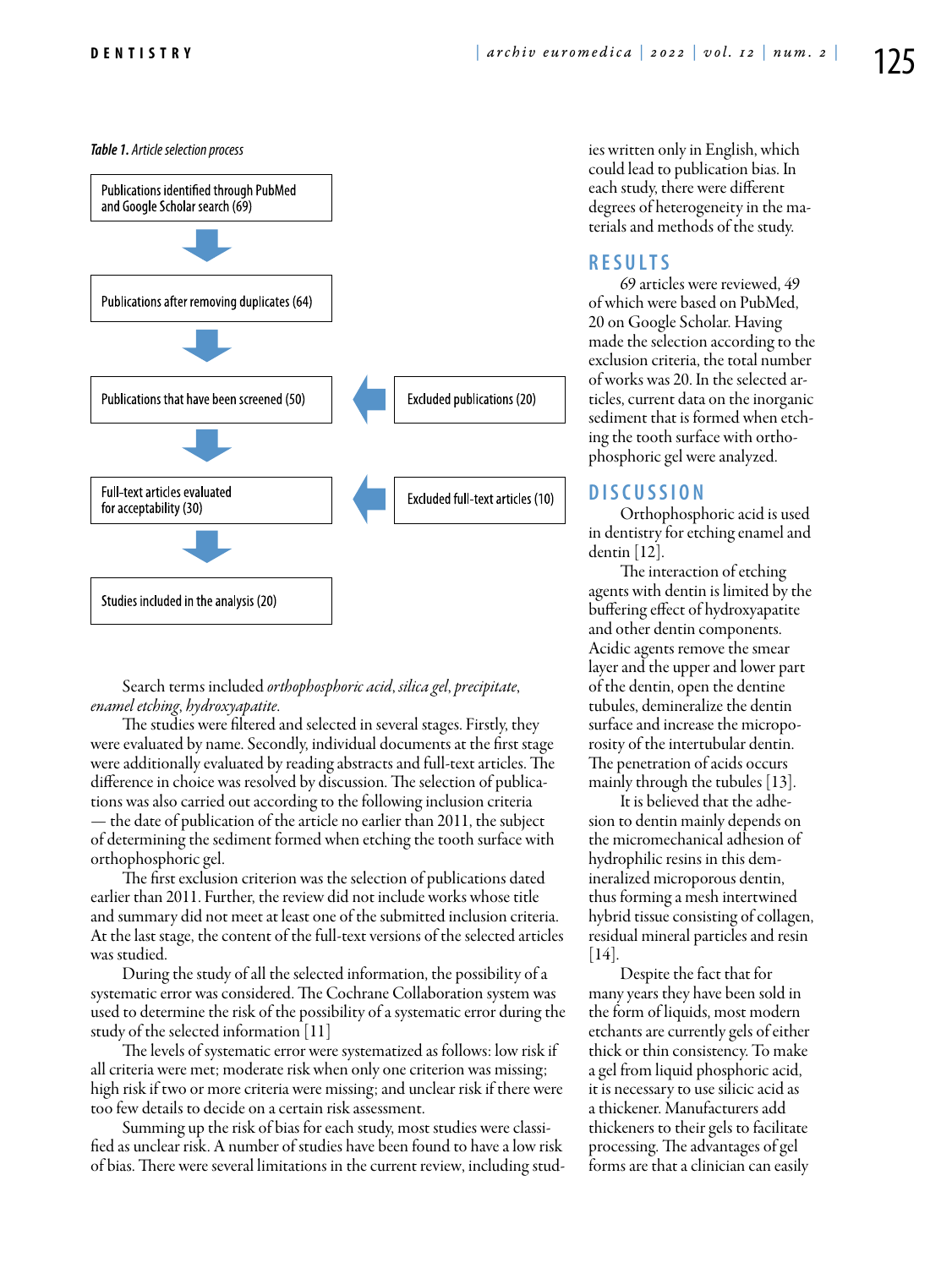

Search terms included *orthophosphoric acid*, *silica gel*, *precipitate*, *enamel etching*, *hydroxyapatite*.

The studies were filtered and selected in several stages. Firstly, they were evaluated by name. Secondly, individual documents at the first stage were additionally evaluated by reading abstracts and full-text articles. The difference in choice was resolved by discussion. The selection of publications was also carried out according to the following inclusion criteria — the date of publication of the article no earlier than 2011, the subject of determining the sediment formed when etching the tooth surface with orthophosphoric gel.

The first exclusion criterion was the selection of publications dated earlier than 2011. Further, the review did not include works whose title and summary did not meet at least one of the submitted inclusion criteria. At the last stage, the content of the full-text versions of the selected articles was studied.

During the study of all the selected information, the possibility of a systematic error was considered. The Cochrane Collaboration system was used to determine the risk of the possibility of a systematic error during the study of the selected information [11]

The levels of systematic error were systematized as follows: low risk if all criteria were met; moderate risk when only one criterion was missing; high risk if two or more criteria were missing; and unclear risk if there were too few details to decide on a certain risk assessment.

Summing up the risk of bias for each study, most studies were classified as unclear risk. A number of studies have been found to have a low risk of bias. There were several limitations in the current review, including stud-

**Table 1.** Article selection process **ies written only in English**, which could lead to publication bias. In each study, there were different degrees of heterogeneity in the materials and methods of the study.

# **R e s ult s**

69 articles were reviewed, 49 of which were based on PubMed, 20 on Google Scholar. Having made the selection according to the exclusion criteria, the total number of works was 20. In the selected articles, current data on the inorganic sediment that is formed when etching the tooth surface with orthophosphoric gel were analyzed.

## **D iscu s si o n**

Orthophosphoric acid is used in dentistry for etching enamel and dentin  $|12|$ .

The interaction of etching agents with dentin is limited by the buffering effect of hydroxyapatite and other dentin components. Acidic agents remove the smear layer and the upper and lower part of the dentin, open the dentine tubules, demineralize the dentin surface and increase the microporosity of the intertubular dentin. The penetration of acids occurs mainly through the tubules [13].

It is believed that the adhesion to dentin mainly depends on the micromechanical adhesion of hydrophilic resins in this demineralized microporous dentin, thus forming a mesh intertwined hybrid tissue consisting of collagen, residual mineral particles and resin [14].

Despite the fact that for many years they have been sold in the form of liquids, most modern etchants are currently gels of either thick or thin consistency. To make a gel from liquid phosphoric acid, it is necessary to use silicic acid as a thickener. Manufacturers add thickeners to their gels to facilitate processing. The advantages of gel forms are that a clinician can easily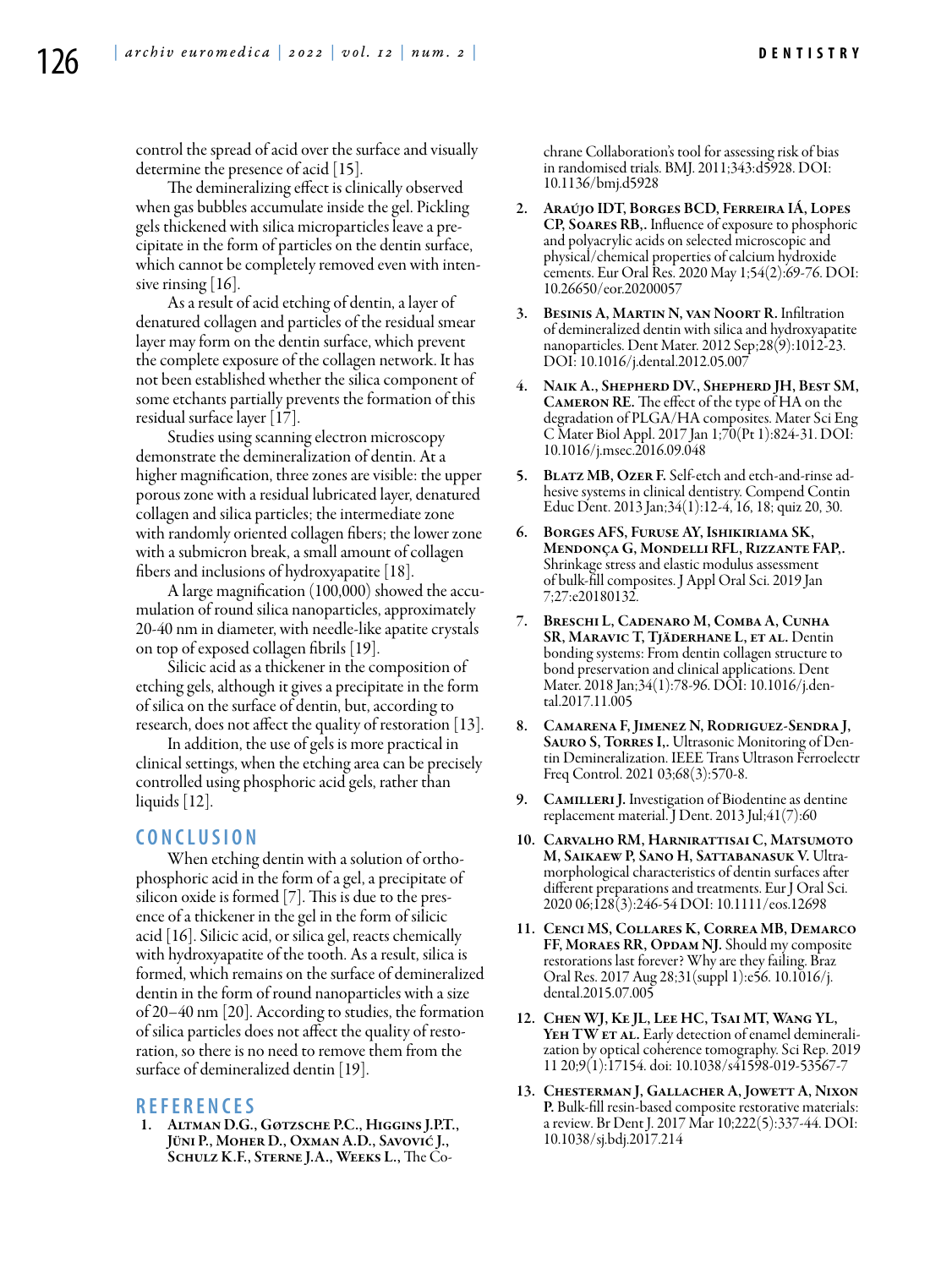control the spread of acid over the surface and visually determine the presence of acid [15].

The demineralizing effect is clinically observed when gas bubbles accumulate inside the gel. Pickling gels thickened with silica microparticles leave a precipitate in the form of particles on the dentin surface, which cannot be completely removed even with intensive rinsing [16].

As a result of acid etching of dentin, a layer of denatured collagen and particles of the residual smear layer may form on the dentin surface, which prevent the complete exposure of the collagen network. It has not been established whether the silica component of some etchants partially prevents the formation of this residual surface layer [17].

Studies using scanning electron microscopy demonstrate the demineralization of dentin. At a higher magnification, three zones are visible: the upper porous zone with a residual lubricated layer, denatured collagen and silica particles; the intermediate zone with randomly oriented collagen fibers; the lower zone with a submicron break, a small amount of collagen fibers and inclusions of hydroxyapatite [18].

A large magnification (100,000) showed the accumulation of round silica nanoparticles, approximately 20-40 nm in diameter, with needle-like apatite crystals on top of exposed collagen fibrils [19].

Silicic acid as a thickener in the composition of etching gels, although it gives a precipitate in the form of silica on the surface of dentin, but, according to research, does not affect the quality of restoration [13].

In addition, the use of gels is more practical in clinical settings, when the etching area can be precisely controlled using phosphoric acid gels, rather than liquids  $|12|$ .

# **C o n clu si o n**

When etching dentin with a solution of orthophosphoric acid in the form of a gel, a precipitate of silicon oxide is formed [7]. This is due to the presence of a thickener in the gel in the form of silicic acid [16]. Silicic acid, or silica gel, reacts chemically with hydroxyapatite of the tooth. As a result, silica is formed, which remains on the surface of demineralized dentin in the form of round nanoparticles with a size of 20–40 nm [20]. According to studies, the formation of silica particles does not affect the quality of restoration, so there is no need to remove them from the surface of demineralized dentin [19].

### **R efe r e n ce s**

1. Altman D.G., Gøtzsche P.C., Higgins J.P.T., Jüni P., Moher D., Oxman A.D., Savović J., Schulz K.F., Sterne J.A., Weeks L., The Cochrane Collaboration's tool for assessing risk of bias in randomised trials. BMJ. 2011;343:d5928. DOI: 10.1136/bmj.d5928

- 2. Araújo IDT, Borges BCD, Ferreira IÁ, Lopes CP, Soares RB,. Influence of exposure to phosphoric and polyacrylic acids on selected microscopic and physical/chemical properties of calcium hydroxide cements. Eur Oral Res. 2020 May 1;54(2):69-76. DOI: 10.26650/eor.20200057
- 3. Besinis A, Martin N, van Noort R. Infiltration of demineralized dentin with silica and hydroxyapatite nanoparticles. Dent Mater. 2012 Sep;28(9):1012-23. DOI: 10.1016/j.dental.2012.05.007
- NAIK A., SHEPHERD DV., SHEPHERD JH, BEST SM, Cameron RE. The effect of the type of HA on the degradation of PLGA/HA composites. Mater Sci Eng C Mater Biol Appl. 2017 Jan 1;70(Pt 1):824-31. DOI: 10.1016/j.msec.2016.09.048
- 5. Blatz MB, Ozer F. Self-etch and etch-and-rinse adhesive systems in clinical dentistry. Compend Contin Educ Dent. 2013 Jan;34(1):12-4, 16, 18; quiz 20, 30.
- 6. Borges AFS, Furuse AY, Ishikiriama SK, Mendonça G, Mondelli RFL, Rizzante FAP,. Shrinkage stress and elastic modulus assessment of bulk-fill composites. J Appl Oral Sci. 2019 Jan 7;27:e20180132.
- 7. Breschi L, Cadenaro M, Comba A, Cunha SR, MARAVIC T, TJÄDERHANE L, ET AL. Dentin bonding systems: From dentin collagen structure to bond preservation and clinical applications. Dent Mater. 2018 Jan;34(1):78-96. DOI: 10.1016/j.dental.2017.11.005
- 8. Camarena F, Jimenez N, Rodriguez-Sendra J, SAURO S, TORRES I,. Ultrasonic Monitoring of Dentin Demineralization. IEEE Trans Ultrason Ferroelectr Freq Control. 2021 03;68(3):570-8.
- 9. CAMILLERI J. Investigation of Biodentine as dentine replacement material. J Dent. 2013 Jul;41(7):60
- 10. Carvalho RM, Harnirattisai C, Matsumoto M, Saikaew P, Sano H, Sattabanasuk V. Ultramorphological characteristics of dentin surfaces after different preparations and treatments. Eur J Oral Sci. 2020 06;128(3):246-54 DOI: 10.1111/eos.12698
- 11. Cenci MS, Collares K, Correa MB, Demarco FF, MORAES RR, OPDAM NJ. Should my composite restorations last forever? Why are they failing. Braz Oral Res. 2017 Aug 28;31(suppl 1):e56. 10.1016/j. dental.2015.07.005
- 12. Chen WJ, Ke JL, Lee HC, Tsai MT, Wang YL, YEH TW ET AL. Early detection of enamel demineralization by optical coherence tomography. Sci Rep. 2019 11 20;9(1):17154. doi: 10.1038/s41598-019-53567-7
- 13. Chesterman J, Gallacher A, Jowett A, Nixon P. Bulk-fill resin-based composite restorative materials: a review. Br Dent J. 2017 Mar 10;222(5):337-44. DOI: 10.1038/sj.bdj.2017.214